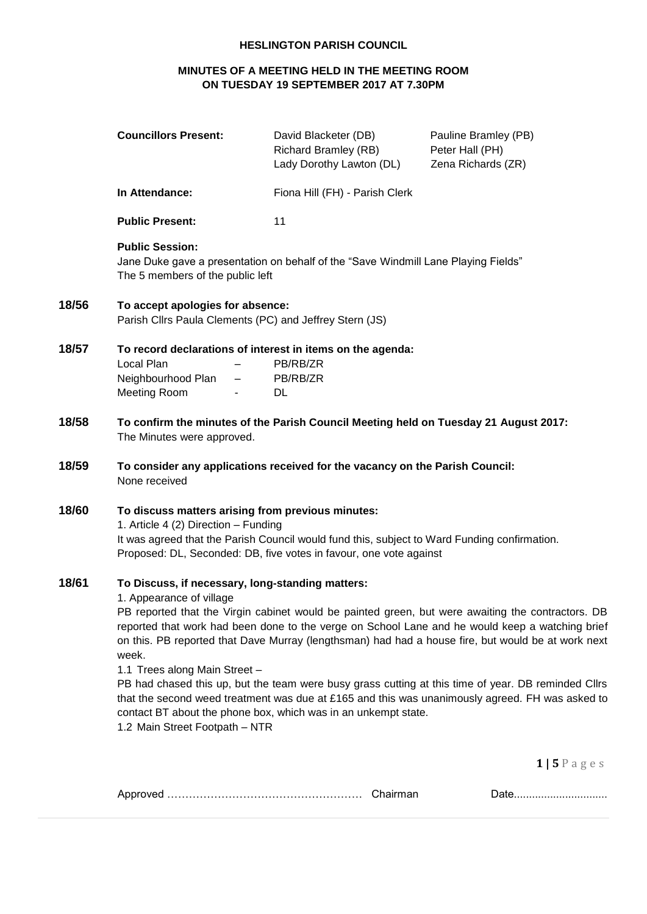#### **HESLINGTON PARISH COUNCIL**

# **MINUTES OF A MEETING HELD IN THE MEETING ROOM ON TUESDAY 19 SEPTEMBER 2017 AT 7.30PM**

|       | <b>Councillors Present:</b>                                                                                                                                                                                                                                                                                                                                                                                                                                                                                                                                                                                                                                                                                                                        | David Blacketer (DB)<br><b>Richard Bramley (RB)</b><br>Lady Dorothy Lawton (DL)    | Pauline Bramley (PB)<br>Peter Hall (PH)<br>Zena Richards (ZR) |  |
|-------|----------------------------------------------------------------------------------------------------------------------------------------------------------------------------------------------------------------------------------------------------------------------------------------------------------------------------------------------------------------------------------------------------------------------------------------------------------------------------------------------------------------------------------------------------------------------------------------------------------------------------------------------------------------------------------------------------------------------------------------------------|------------------------------------------------------------------------------------|---------------------------------------------------------------|--|
|       | In Attendance:                                                                                                                                                                                                                                                                                                                                                                                                                                                                                                                                                                                                                                                                                                                                     | Fiona Hill (FH) - Parish Clerk                                                     |                                                               |  |
|       | <b>Public Present:</b>                                                                                                                                                                                                                                                                                                                                                                                                                                                                                                                                                                                                                                                                                                                             | 11                                                                                 |                                                               |  |
|       | <b>Public Session:</b><br>The 5 members of the public left                                                                                                                                                                                                                                                                                                                                                                                                                                                                                                                                                                                                                                                                                         | Jane Duke gave a presentation on behalf of the "Save Windmill Lane Playing Fields" |                                                               |  |
| 18/56 | To accept apologies for absence:<br>Parish Cllrs Paula Clements (PC) and Jeffrey Stern (JS)                                                                                                                                                                                                                                                                                                                                                                                                                                                                                                                                                                                                                                                        |                                                                                    |                                                               |  |
| 18/57 | To record declarations of interest in items on the agenda:<br>Local Plan<br>Neighbourhood Plan<br>$\overline{\phantom{m}}$<br>Meeting Room                                                                                                                                                                                                                                                                                                                                                                                                                                                                                                                                                                                                         | PB/RB/ZR<br>PB/RB/ZR<br>DL.                                                        |                                                               |  |
| 18/58 | To confirm the minutes of the Parish Council Meeting held on Tuesday 21 August 2017:<br>The Minutes were approved.                                                                                                                                                                                                                                                                                                                                                                                                                                                                                                                                                                                                                                 |                                                                                    |                                                               |  |
| 18/59 | To consider any applications received for the vacancy on the Parish Council:<br>None received                                                                                                                                                                                                                                                                                                                                                                                                                                                                                                                                                                                                                                                      |                                                                                    |                                                               |  |
| 18/60 | To discuss matters arising from previous minutes:<br>1. Article 4 (2) Direction - Funding<br>It was agreed that the Parish Council would fund this, subject to Ward Funding confirmation.<br>Proposed: DL, Seconded: DB, five votes in favour, one vote against                                                                                                                                                                                                                                                                                                                                                                                                                                                                                    |                                                                                    |                                                               |  |
| 18/61 | To Discuss, if necessary, long-standing matters:<br>1. Appearance of village<br>PB reported that the Virgin cabinet would be painted green, but were awaiting the contractors. DB<br>reported that work had been done to the verge on School Lane and he would keep a watching brief<br>on this. PB reported that Dave Murray (lengthsman) had had a house fire, but would be at work next<br>week.<br>1.1 Trees along Main Street -<br>PB had chased this up, but the team were busy grass cutting at this time of year. DB reminded Cllrs<br>that the second weed treatment was due at £165 and this was unanimously agreed. FH was asked to<br>contact BT about the phone box, which was in an unkempt state.<br>1.2 Main Street Footpath - NTR |                                                                                    |                                                               |  |
|       |                                                                                                                                                                                                                                                                                                                                                                                                                                                                                                                                                                                                                                                                                                                                                    |                                                                                    | $1 \mid 5 \mid$ ages                                          |  |

|--|--|--|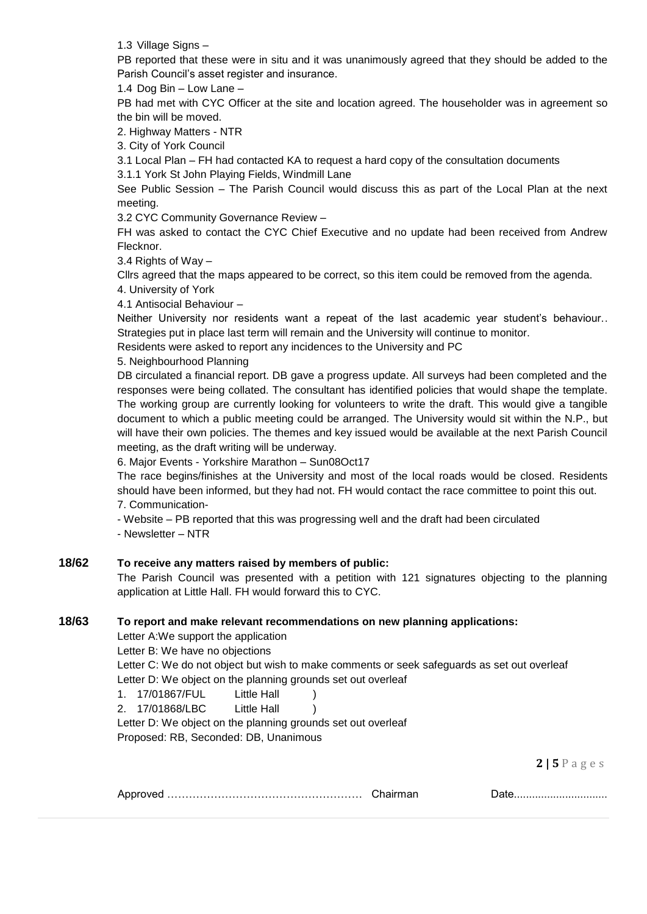1.3 Village Signs –

PB reported that these were in situ and it was unanimously agreed that they should be added to the Parish Council's asset register and insurance.

1.4 Dog Bin – Low Lane –

PB had met with CYC Officer at the site and location agreed. The householder was in agreement so the bin will be moved.

2. Highway Matters - NTR

3. City of York Council

3.1 Local Plan – FH had contacted KA to request a hard copy of the consultation documents

3.1.1 York St John Playing Fields, Windmill Lane

See Public Session – The Parish Council would discuss this as part of the Local Plan at the next meeting.

3.2 CYC Community Governance Review –

FH was asked to contact the CYC Chief Executive and no update had been received from Andrew Flecknor.

3.4 Rights of Way –

Cllrs agreed that the maps appeared to be correct, so this item could be removed from the agenda.

4. University of York

4.1 Antisocial Behaviour –

Neither University nor residents want a repeat of the last academic year student's behaviour.. Strategies put in place last term will remain and the University will continue to monitor.

Residents were asked to report any incidences to the University and PC

5. Neighbourhood Planning

DB circulated a financial report. DB gave a progress update. All surveys had been completed and the responses were being collated. The consultant has identified policies that would shape the template. The working group are currently looking for volunteers to write the draft. This would give a tangible document to which a public meeting could be arranged. The University would sit within the N.P., but will have their own policies. The themes and key issued would be available at the next Parish Council meeting, as the draft writing will be underway.

6. Major Events - Yorkshire Marathon – Sun08Oct17

The race begins/finishes at the University and most of the local roads would be closed. Residents should have been informed, but they had not. FH would contact the race committee to point this out. 7. Communication-

- Website – PB reported that this was progressing well and the draft had been circulated

- Newsletter – NTR

# **18/62 To receive any matters raised by members of public:**

The Parish Council was presented with a petition with 121 signatures objecting to the planning application at Little Hall. FH would forward this to CYC.

## **18/63 To report and make relevant recommendations on new planning applications:**

Letter A:We support the application

Letter B: We have no objections

Letter C: We do not object but wish to make comments or seek safeguards as set out overleaf Letter D: We object on the planning grounds set out overleaf

1. 17/01867/FUL Little Hall )

2. 17/01868/LBC Little Hall )

Letter D: We object on the planning grounds set out overleaf Proposed: RB, Seconded: DB, Unanimous

**2 | 5** P a g e s

|--|--|--|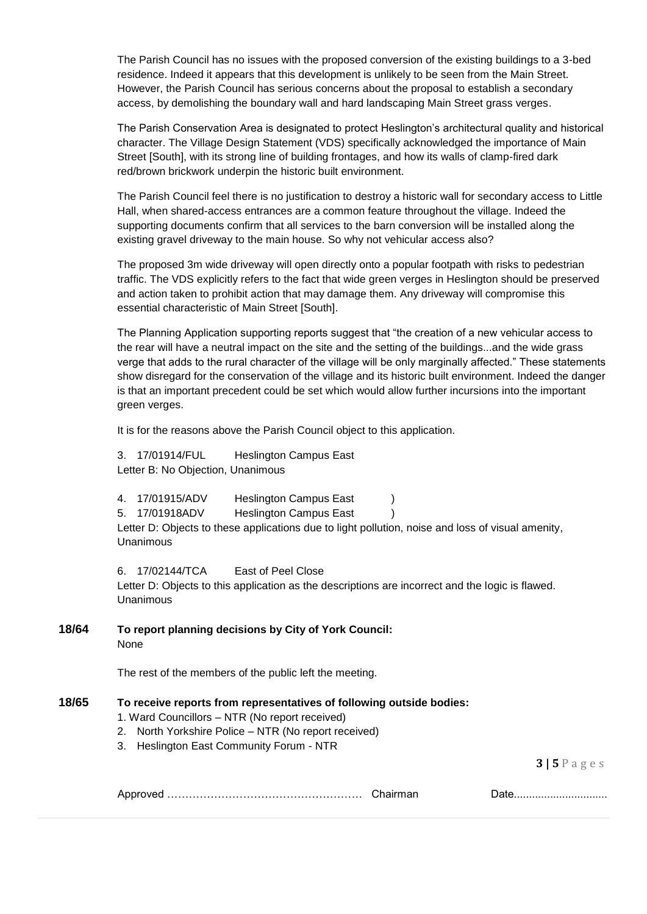The Parish Council has no issues with the proposed conversion of the existing buildings to a 3-bed residence. Indeed it appears that this development is unlikely to be seen from the Main Street. However, the Parish Council has serious concerns about the proposal to establish a secondary access, by demolishing the boundary wall and hard landscaping Main Street grass verges.

The Parish Conservation Area is designated to protect Heslington's architectural quality and historical character. The Village Design Statement (VDS) specifically acknowledged the importance of Main Street [South], with its strong line of building frontages, and how its walls of clamp-fired dark red/brown brickwork underpin the historic built environment.

The Parish Council feel there is no justification to destroy a historic wall for secondary access to Little Hall, when shared-access entrances are a common feature throughout the village. Indeed the supporting documents confirm that all services to the barn conversion will be installed along the existing gravel driveway to the main house. So why not vehicular access also?

The proposed 3m wide driveway will open directly onto a popular footpath with risks to pedestrian traffic. The VDS explicitly refers to the fact that wide green verges in Heslington should be preserved and action taken to prohibit action that may damage them. Any driveway will compromise this essential characteristic of Main Street [South].

The Planning Application supporting reports suggest that "the creation of a new vehicular access to the rear will have a neutral impact on the site and the setting of the buildings...and the wide grass verge that adds to the rural character of the village will be only marginally affected." These statements show disregard for the conservation of the village and its historic built environment. Indeed the danger is that an important precedent could be set which would allow further incursions into the important green verges.

It is for the reasons above the Parish Council object to this application.

3. 17/01914/FUL Heslington Campus East Letter B: No Objection, Unanimous

4. 17/01915/ADV Heslington Campus East ) 5. 17/01918ADV Heslington Campus East ) Letter D: Objects to these applications due to light pollution, noise and loss of visual amenity, Unanimous

6. 17/02144/TCA East of Peel Close Letter D: Objects to this application as the descriptions are incorrect and the logic is flawed. Unanimous

**18/64 To report planning decisions by City of York Council:** None

The rest of the members of the public left the meeting.

#### **18/65 To receive reports from representatives of following outside bodies:**

- 1. Ward Councillors NTR (No report received)
- 2. North Yorkshire Police NTR (No report received)
- 3. Heslington East Community Forum NTR

**3 | 5** P a g e s

|  |  | <u> UUW</u> |
|--|--|-------------|
|--|--|-------------|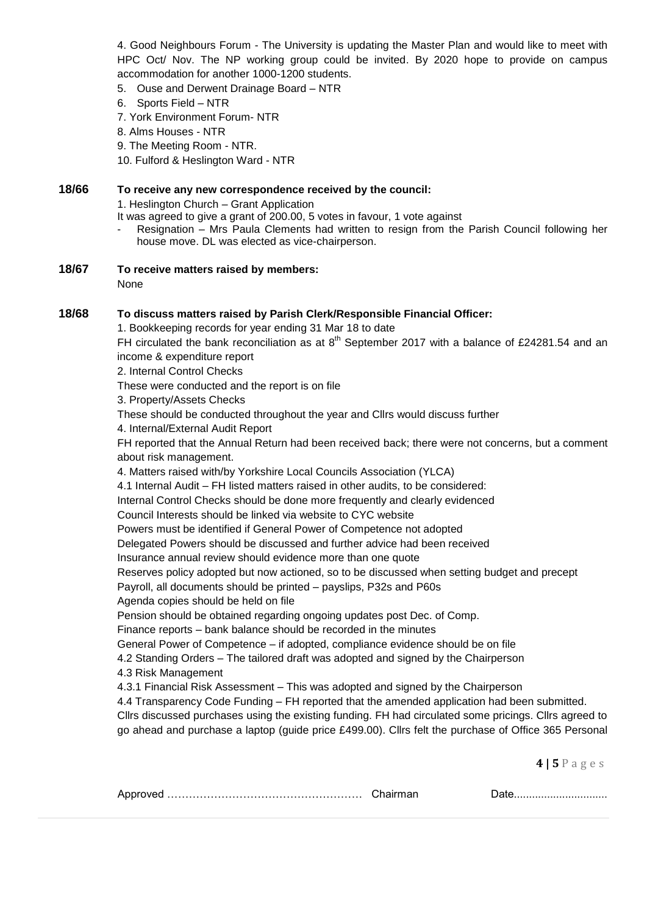4. Good Neighbours Forum - The University is updating the Master Plan and would like to meet with HPC Oct/ Nov. The NP working group could be invited. By 2020 hope to provide on campus accommodation for another 1000-1200 students.

5. Ouse and Derwent Drainage Board – NTR

- 6. Sports Field NTR
- 7. York Environment Forum- NTR
- 8. Alms Houses NTR
- 9. The Meeting Room NTR.
- 10. Fulford & Heslington Ward NTR

### **18/66 To receive any new correspondence received by the council:**

1. Heslington Church – Grant Application

It was agreed to give a grant of 200.00, 5 votes in favour, 1 vote against

- Resignation Mrs Paula Clements had written to resign from the Parish Council following her house move. DL was elected as vice-chairperson.
- **18/67 To receive matters raised by members:**

None

#### **18/68 To discuss matters raised by Parish Clerk/Responsible Financial Officer:**

1. Bookkeeping records for year ending 31 Mar 18 to date

FH circulated the bank reconciliation as at  $8<sup>th</sup>$  September 2017 with a balance of £24281.54 and an income & expenditure report

2. Internal Control Checks

These were conducted and the report is on file

3. Property/Assets Checks

These should be conducted throughout the year and Cllrs would discuss further

4. Internal/External Audit Report

FH reported that the Annual Return had been received back; there were not concerns, but a comment about risk management.

4. Matters raised with/by Yorkshire Local Councils Association (YLCA)

4.1 Internal Audit – FH listed matters raised in other audits, to be considered:

Internal Control Checks should be done more frequently and clearly evidenced

Council Interests should be linked via website to CYC website

Powers must be identified if General Power of Competence not adopted

Delegated Powers should be discussed and further advice had been received

Insurance annual review should evidence more than one quote

Reserves policy adopted but now actioned, so to be discussed when setting budget and precept

Payroll, all documents should be printed – payslips, P32s and P60s

Agenda copies should be held on file

Pension should be obtained regarding ongoing updates post Dec. of Comp.

Finance reports – bank balance should be recorded in the minutes

General Power of Competence – if adopted, compliance evidence should be on file

4.2 Standing Orders – The tailored draft was adopted and signed by the Chairperson

4.3 Risk Management

4.3.1 Financial Risk Assessment – This was adopted and signed by the Chairperson

4.4 Transparency Code Funding – FH reported that the amended application had been submitted. Cllrs discussed purchases using the existing funding. FH had circulated some pricings. Cllrs agreed to go ahead and purchase a laptop (guide price £499.00). Cllrs felt the purchase of Office 365 Personal

**4 | 5** P a g e s

| ענ |  |
|----|--|
|    |  |